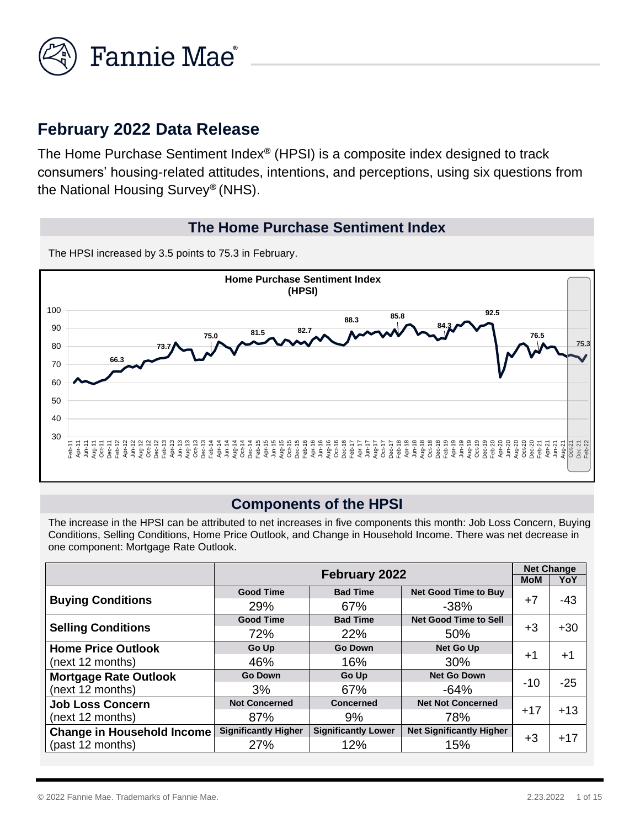

# **February 2022 Data Release**

The Home Purchase Sentiment Index*®* (HPSI) is a composite index designed to track consumers' housing-related attitudes, intentions, and perceptions, using six questions from the National Housing Survey*®* (NHS).

#### **The Home Purchase Sentiment Index**

The HPSI increased by 3.5 points to 75.3 in February.



## **Components of the HPSI**

The increase in the HPSI can be attributed to net increases in five components this month: Job Loss Concern, Buying Conditions, Selling Conditions, Home Price Outlook, and Change in Household Income. There was net decrease in one component: Mortgage Rate Outlook.

|                                   | February 2022               |                            |                                 |       | <b>Net Change</b> |  |
|-----------------------------------|-----------------------------|----------------------------|---------------------------------|-------|-------------------|--|
|                                   |                             |                            |                                 |       |                   |  |
|                                   | <b>Good Time</b>            | <b>Bad Time</b>            | <b>Net Good Time to Buy</b>     |       | $-43$             |  |
| <b>Buying Conditions</b>          | 29%                         | 67%                        | $-38%$                          | $+7$  |                   |  |
|                                   | <b>Good Time</b>            | <b>Bad Time</b>            | <b>Net Good Time to Sell</b>    |       |                   |  |
| <b>Selling Conditions</b>         | 72%                         | 22%                        | 50%                             | $+3$  | $+30$             |  |
| <b>Home Price Outlook</b>         | Go Up                       | <b>Go Down</b>             | <b>Net Go Up</b>                |       |                   |  |
| (next 12 months)                  | 46%                         | 16%                        | 30%                             | $+1$  | $+1$              |  |
| <b>Mortgage Rate Outlook</b>      | <b>Go Down</b>              | <b>Go Up</b>               | <b>Net Go Down</b>              |       |                   |  |
| (next 12 months)                  | 3%                          | 67%                        | $-64%$                          | $-10$ | $-25$             |  |
| <b>Job Loss Concern</b>           | <b>Not Concerned</b>        | Concerned                  | <b>Net Not Concerned</b>        |       | $+13$             |  |
| (next 12 months)                  | 87%                         | 9%                         | 78%                             | $+17$ |                   |  |
| <b>Change in Household Income</b> | <b>Significantly Higher</b> | <b>Significantly Lower</b> | <b>Net Significantly Higher</b> |       |                   |  |
| (past 12 months)                  | 27%                         | 12%                        | 15%                             | $+3$  | $+17$             |  |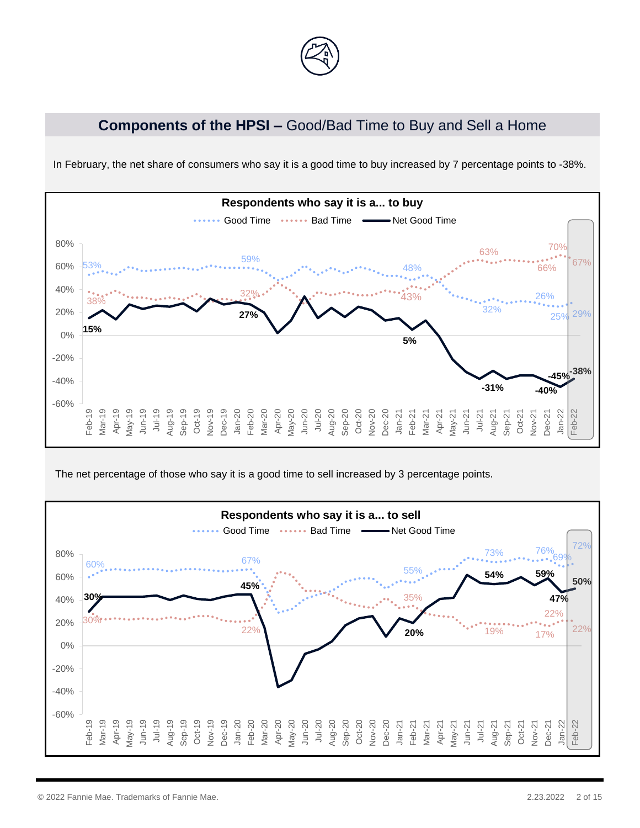

# **Components of the HPSI –** Good/Bad Time to Buy and Sell a Home



In February, the net share of consumers who say it is a good time to buy increased by 7 percentage points to -38%.

The net percentage of those who say it is a good time to sell increased by 3 percentage points.

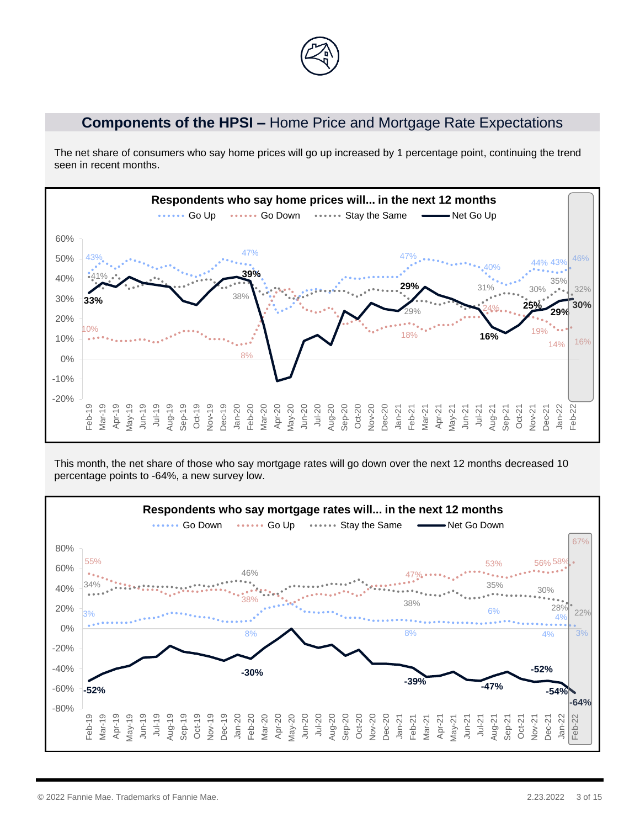## **Components of the HPSI –** Home Price and Mortgage Rate Expectations

The net share of consumers who say home prices will go up increased by 1 percentage point, continuing the trend seen in recent months.



This month, the net share of those who say mortgage rates will go down over the next 12 months decreased 10 percentage points to -64%, a new survey low.

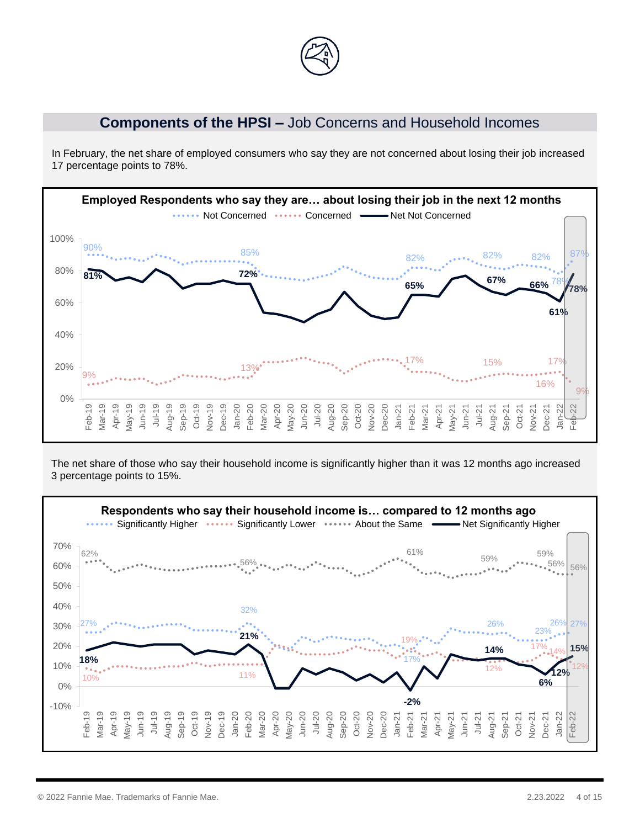

#### **Components of the HPSI –** Job Concerns and Household Incomes

In February, the net share of employed consumers who say they are not concerned about losing their job increased 17 percentage points to 78%.



The net share of those who say their household income is significantly higher than it was 12 months ago increased 3 percentage points to 15%.

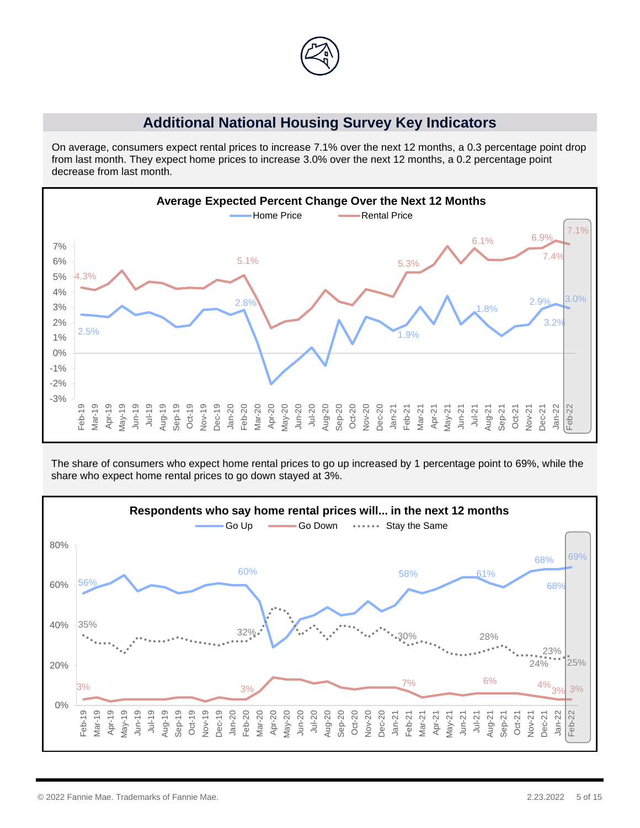

#### **Additional National Housing Survey Key Indicators**

On average, consumers expect rental prices to increase 7.1% over the next 12 months, a 0.3 percentage point drop from last month. They expect home prices to increase 3.0% over the next 12 months, a 0.2 percentage point decrease from last month.



The share of consumers who expect home rental prices to go up increased by 1 percentage point to 69%, while the share who expect home rental prices to go down stayed at 3%.

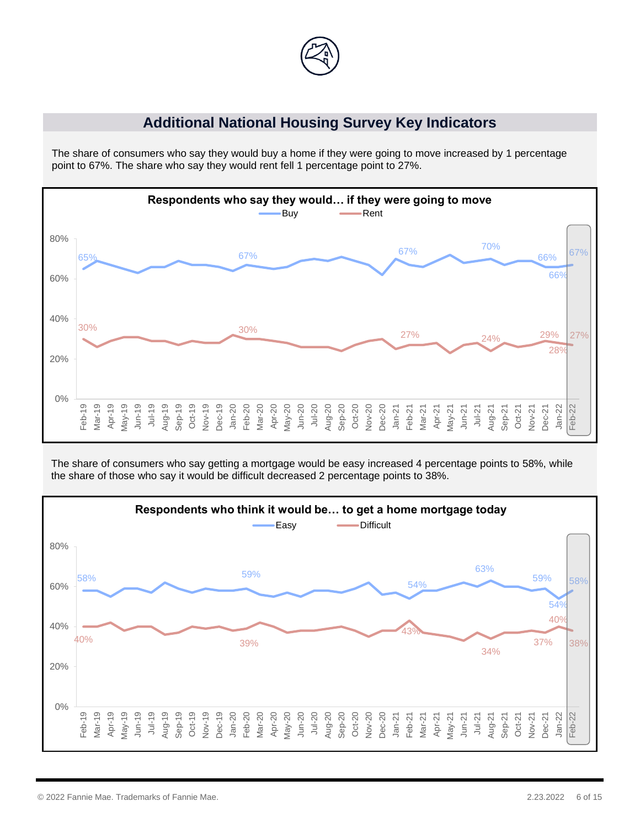

## **Additional National Housing Survey Key Indicators**

The share of consumers who say they would buy a home if they were going to move increased by 1 percentage point to 67%. The share who say they would rent fell 1 percentage point to 27%.



The share of consumers who say getting a mortgage would be easy increased 4 percentage points to 58%, while the share of those who say it would be difficult decreased 2 percentage points to 38%.

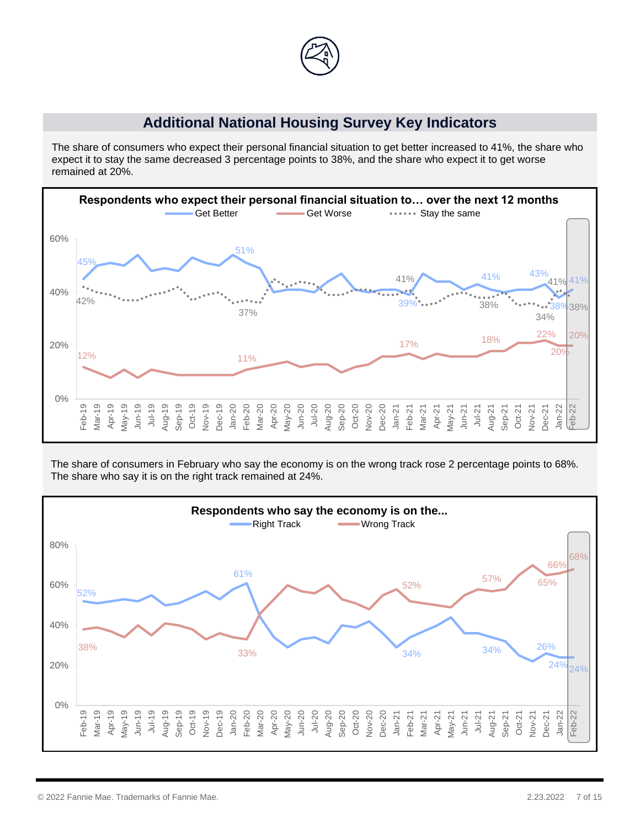

## **Additional National Housing Survey Key Indicators**

The share of consumers who expect their personal financial situation to get better increased to 41%, the share who expect it to stay the same decreased 3 percentage points to 38%, and the share who expect it to get worse remained at 20%.



The share of consumers in February who say the economy is on the wrong track rose 2 percentage points to 68%. The share who say it is on the right track remained at 24%.

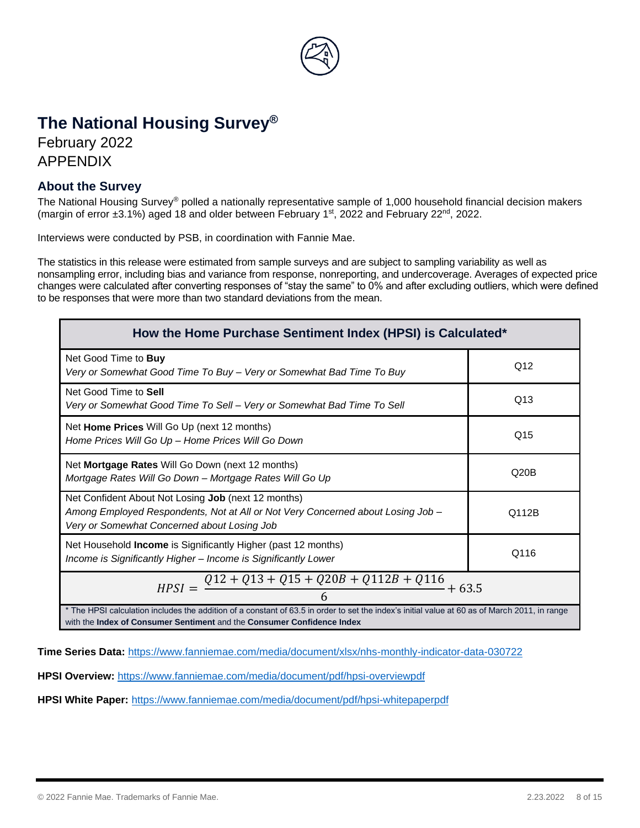

# **The National Housing Survey®**

February 2022 APPENDIX

#### **About the Survey**

The National Housing Survey® polled a nationally representative sample of 1,000 household financial decision makers (margin of error  $\pm 3.1\%$ ) aged 18 and older between February 1st, 2022 and February 22<sup>nd</sup>, 2022.

Interviews were conducted by PSB, in coordination with Fannie Mae.

The statistics in this release were estimated from sample surveys and are subject to sampling variability as well as nonsampling error, including bias and variance from response, nonreporting, and undercoverage. Averages of expected price changes were calculated after converting responses of "stay the same" to 0% and after excluding outliers, which were defined to be responses that were more than two standard deviations from the mean.

| How the Home Purchase Sentiment Index (HPSI) is Calculated*                                                                                                                                    |     |  |  |  |
|------------------------------------------------------------------------------------------------------------------------------------------------------------------------------------------------|-----|--|--|--|
| Net Good Time to Buy<br>Very or Somewhat Good Time To Buy – Very or Somewhat Bad Time To Buy                                                                                                   | Q12 |  |  |  |
| Net Good Time to Sell<br>Very or Somewhat Good Time To Sell – Very or Somewhat Bad Time To Sell                                                                                                | Q13 |  |  |  |
| Net Home Prices Will Go Up (next 12 months)<br>Home Prices Will Go Up - Home Prices Will Go Down                                                                                               | Q15 |  |  |  |
| Net Mortgage Rates Will Go Down (next 12 months)<br>Q20B<br>Mortgage Rates Will Go Down - Mortgage Rates Will Go Up                                                                            |     |  |  |  |
| Net Confident About Not Losing Job (next 12 months)<br>Among Employed Respondents, Not at All or Not Very Concerned about Losing Job -<br>Q112B<br>Very or Somewhat Concerned about Losing Job |     |  |  |  |
| Net Household Income is Significantly Higher (past 12 months)<br>Q116<br>Income is Significantly Higher - Income is Significantly Lower                                                        |     |  |  |  |
| $Q12 + Q13 + Q15 + Q20B + Q112B + Q116$<br>$+63.5$<br>$HPSI =$                                                                                                                                 |     |  |  |  |
| * The HPSI calculation includes the addition of a constant of 63.5 in order to set the index's initial value at 60 as of March 2011, in range                                                  |     |  |  |  |

with the **Index of Consumer Sentiment** and the **Consumer Confidence Index**

**Time Series Data:** <https://www.fanniemae.com/media/document/xlsx/nhs-monthly-indicator-data-030722>

**HPSI Overview:** <https://www.fanniemae.com/media/document/pdf/hpsi-overviewpdf>

**HPSI White Paper:** <https://www.fanniemae.com/media/document/pdf/hpsi-whitepaperpdf>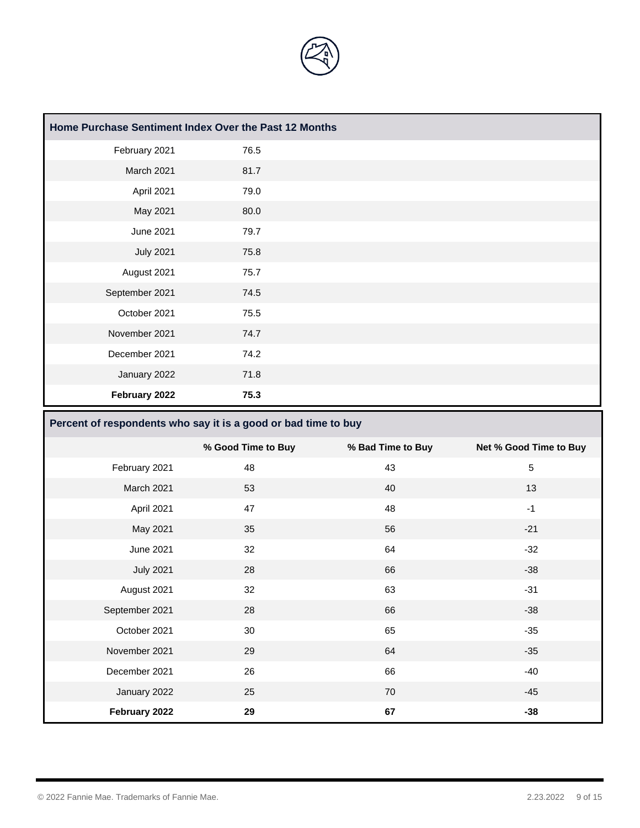

| Home Purchase Sentiment Index Over the Past 12 Months |      |  |  |  |  |
|-------------------------------------------------------|------|--|--|--|--|
| February 2021                                         | 76.5 |  |  |  |  |
| March 2021                                            | 81.7 |  |  |  |  |
| April 2021                                            | 79.0 |  |  |  |  |
| May 2021                                              | 80.0 |  |  |  |  |
| June 2021                                             | 79.7 |  |  |  |  |
| <b>July 2021</b>                                      | 75.8 |  |  |  |  |
| August 2021                                           | 75.7 |  |  |  |  |
| September 2021                                        | 74.5 |  |  |  |  |
| October 2021                                          | 75.5 |  |  |  |  |
| November 2021                                         | 74.7 |  |  |  |  |
| December 2021                                         | 74.2 |  |  |  |  |
| January 2022                                          | 71.8 |  |  |  |  |
| February 2022                                         | 75.3 |  |  |  |  |

#### **Percent of respondents who say it is a good or bad time to buy**

|                  | % Good Time to Buy | % Bad Time to Buy | Net % Good Time to Buy |
|------------------|--------------------|-------------------|------------------------|
| February 2021    | 48                 | 43                | $\sqrt{5}$             |
| March 2021       | 53                 | 40                | 13                     |
| April 2021       | 47                 | 48                | $-1$                   |
| May 2021         | 35                 | 56                | $-21$                  |
| June 2021        | 32                 | 64                | $-32$                  |
| <b>July 2021</b> | 28                 | 66                | $-38$                  |
| August 2021      | 32                 | 63                | $-31$                  |
| September 2021   | 28                 | 66                | $-38$                  |
| October 2021     | 30                 | 65                | $-35$                  |
| November 2021    | 29                 | 64                | $-35$                  |
| December 2021    | 26                 | 66                | $-40$                  |
| January 2022     | 25                 | 70                | $-45$                  |
| February 2022    | 29                 | 67                | $-38$                  |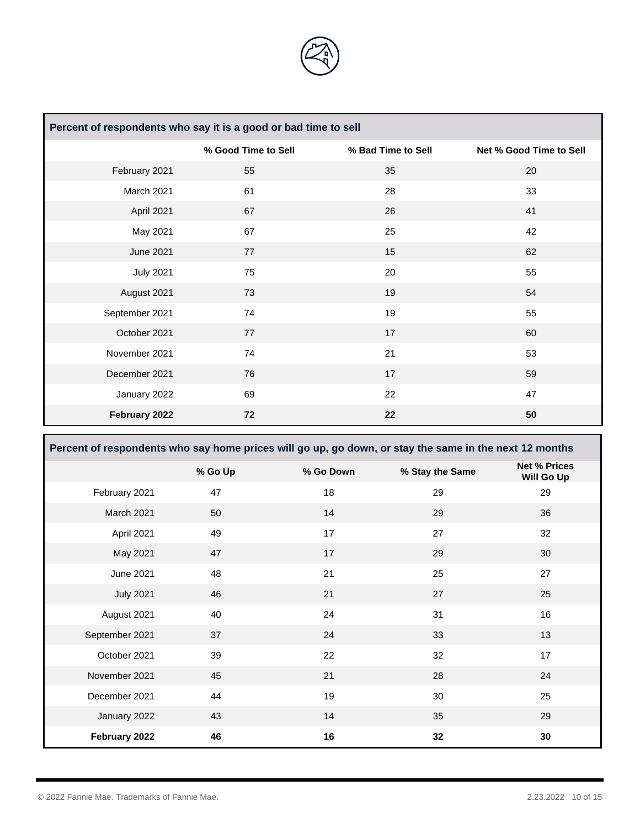

| Percent of respondents who say it is a good or bad time to sell |                     |                    |                         |  |  |
|-----------------------------------------------------------------|---------------------|--------------------|-------------------------|--|--|
|                                                                 | % Good Time to Sell | % Bad Time to Sell | Net % Good Time to Sell |  |  |
| February 2021                                                   | 55                  | 35                 | 20                      |  |  |
| March 2021                                                      | 61                  | 28                 | 33                      |  |  |
| April 2021                                                      | 67                  | 26                 | 41                      |  |  |
| May 2021                                                        | 67                  | 25                 | 42                      |  |  |
| <b>June 2021</b>                                                | 77                  | 15                 | 62                      |  |  |
| <b>July 2021</b>                                                | 75                  | 20                 | 55                      |  |  |
| August 2021                                                     | 73                  | 19                 | 54                      |  |  |
| September 2021                                                  | 74                  | 19                 | 55                      |  |  |
| October 2021                                                    | 77                  | 17                 | 60                      |  |  |
| November 2021                                                   | 74                  | 21                 | 53                      |  |  |
| December 2021                                                   | 76                  | 17                 | 59                      |  |  |
| January 2022                                                    | 69                  | 22                 | 47                      |  |  |
| February 2022                                                   | 72                  | 22                 | 50                      |  |  |

**Percent of respondents who say home prices will go up, go down, or stay the same in the next 12 months % Go Up % Go Down % Stay the Same Net % Prices Will Go Up** 

|                  | $\sim$ $\sim$ $\sim$ $\sim$ $\sim$ | $10 - 10 - 10 = 10$ | $\sim$ $\sim$ $\sim$ $\sim$ $\sim$ $\sim$ $\sim$ $\sim$ | Will Go Up |
|------------------|------------------------------------|---------------------|---------------------------------------------------------|------------|
| February 2021    | 47                                 | 18                  | 29                                                      | 29         |
| March 2021       | 50                                 | 14                  | 29                                                      | 36         |
| April 2021       | 49                                 | 17                  | 27                                                      | 32         |
| May 2021         | 47                                 | 17                  | 29                                                      | 30         |
| June 2021        | 48                                 | 21                  | 25                                                      | 27         |
| <b>July 2021</b> | 46                                 | 21                  | 27                                                      | 25         |
| August 2021      | 40                                 | 24                  | 31                                                      | 16         |
| September 2021   | 37                                 | 24                  | 33                                                      | 13         |
| October 2021     | 39                                 | 22                  | 32                                                      | 17         |
| November 2021    | 45                                 | 21                  | 28                                                      | 24         |
| December 2021    | 44                                 | 19                  | 30                                                      | 25         |
| January 2022     | 43                                 | 14                  | 35                                                      | 29         |
| February 2022    | 46                                 | 16                  | 32                                                      | 30         |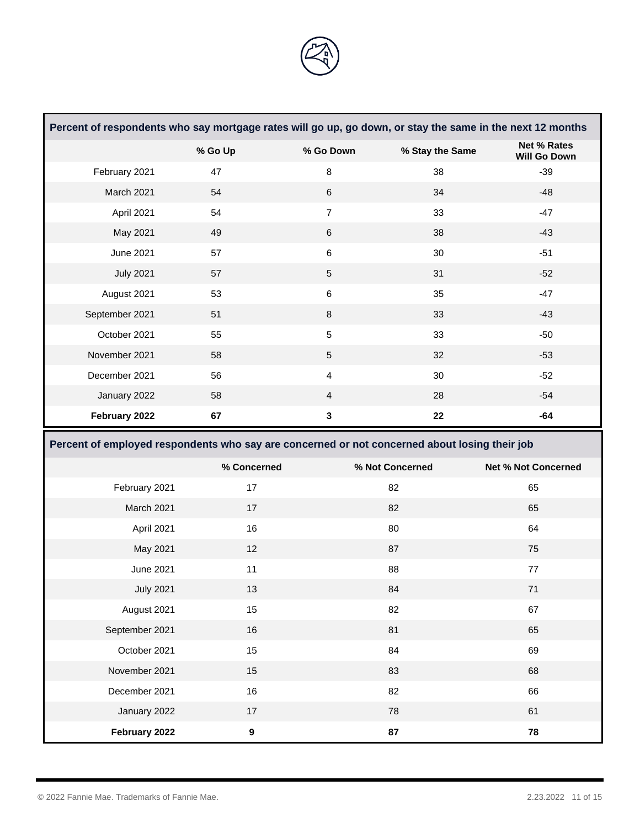

| Percent of respondents who say mortgage rates will go up, go down, or stay the same in the next 12 months |             |                |                 |                                           |
|-----------------------------------------------------------------------------------------------------------|-------------|----------------|-----------------|-------------------------------------------|
|                                                                                                           | % Go Up     | % Go Down      | % Stay the Same | <b>Net % Rates</b><br><b>Will Go Down</b> |
| February 2021                                                                                             | 47          | $\bf 8$        | 38              | $-39$                                     |
| March 2021                                                                                                | 54          | $\,6\,$        | 34              | $-48$                                     |
| April 2021                                                                                                | 54          | $\overline{7}$ | 33              | $-47$                                     |
| May 2021                                                                                                  | 49          | $\,6\,$        | 38              | $-43$                                     |
| June 2021                                                                                                 | 57          | $\,6$          | 30              | $-51$                                     |
| <b>July 2021</b>                                                                                          | 57          | $\sqrt{5}$     | 31              | $-52$                                     |
| August 2021                                                                                               | 53          | $\,6$          | 35              | $-47$                                     |
| September 2021                                                                                            | 51          | $\bf 8$        | 33              | $-43$                                     |
| October 2021                                                                                              | 55          | $\mathbf 5$    | 33              | $-50$                                     |
| November 2021                                                                                             | 58          | $\sqrt{5}$     | 32              | $-53$                                     |
| December 2021                                                                                             | 56          | $\overline{4}$ | 30              | $-52$                                     |
| January 2022                                                                                              | 58          | $\overline{4}$ | 28              | $-54$                                     |
| February 2022                                                                                             | 67          | $\mathbf 3$    | 22              | $-64$                                     |
|                                                                                                           |             |                |                 |                                           |
| Percent of employed respondents who say are concerned or not concerned about losing their job             |             |                |                 |                                           |
|                                                                                                           | % Concerned |                | % Not Concerned | <b>Net % Not Concerned</b>                |
| February 2021                                                                                             | 17          |                | 82              | 65                                        |
| March 2021                                                                                                | 17          |                | 82              | 65                                        |
| April 2021                                                                                                | 16          |                | 80              | 64                                        |
| May 2021                                                                                                  | 12          |                | 87              | 75                                        |
| <b>June 2021</b>                                                                                          | 11          |                | 88              | 77                                        |
| <b>July 2021</b>                                                                                          | 13          |                | 84              | 71                                        |
| August 2021                                                                                               | 15          |                | 82              | 67                                        |
| September 2021                                                                                            | 16          |                | 81              | 65                                        |
| October 2021                                                                                              | 15          |                | 84              | 69                                        |
| November 2021                                                                                             | 15          |                | 83              | 68                                        |
| December 2021                                                                                             | 16          |                | 82              | 66                                        |
| January 2022                                                                                              | $17$        |                | 78              | 61                                        |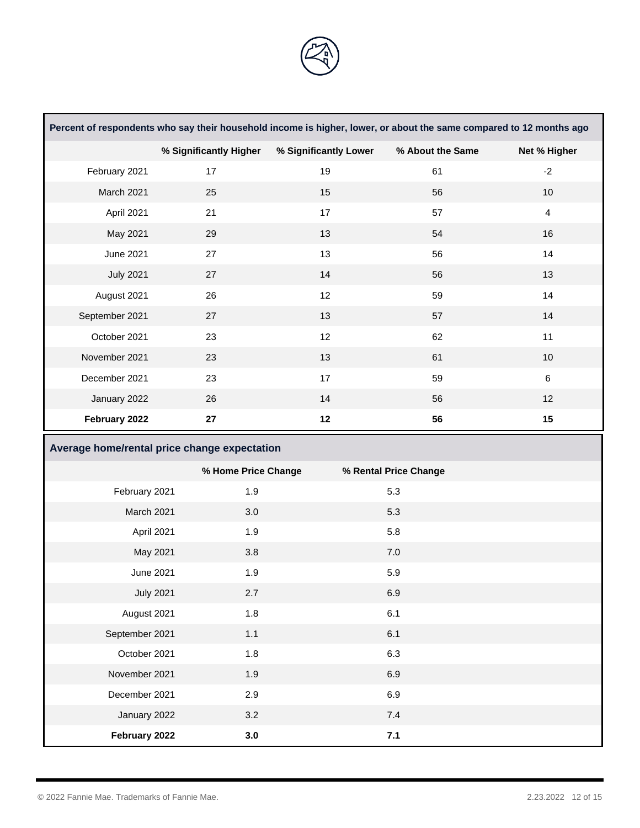

| Percent of respondents who say their household income is higher, lower, or about the same compared to 12 months ago |                        |                       |                       |                |
|---------------------------------------------------------------------------------------------------------------------|------------------------|-----------------------|-----------------------|----------------|
|                                                                                                                     | % Significantly Higher | % Significantly Lower | % About the Same      | Net % Higher   |
| February 2021                                                                                                       | 17                     | 19                    | 61                    | $-2$           |
| March 2021                                                                                                          | 25                     | 15                    | 56                    | 10             |
| April 2021                                                                                                          | 21                     | 17                    | 57                    | $\overline{4}$ |
| May 2021                                                                                                            | 29                     | 13                    | 54                    | 16             |
| <b>June 2021</b>                                                                                                    | 27                     | 13                    | 56                    | 14             |
| <b>July 2021</b>                                                                                                    | 27                     | 14                    | 56                    | 13             |
| August 2021                                                                                                         | 26                     | 12                    | 59                    | 14             |
| September 2021                                                                                                      | 27                     | 13                    | 57                    | 14             |
| October 2021                                                                                                        | 23                     | 12                    | 62                    | 11             |
| November 2021                                                                                                       | 23                     | 13                    | 61                    | 10             |
| December 2021                                                                                                       | 23                     | 17                    | 59                    | $\,6\,$        |
| January 2022                                                                                                        | 26                     | 14                    | 56                    | 12             |
| February 2022                                                                                                       | ${\bf 27}$             | 12                    | 56                    | 15             |
| Average home/rental price change expectation                                                                        |                        |                       |                       |                |
|                                                                                                                     | % Home Price Change    |                       | % Rental Price Change |                |
| February 2021                                                                                                       | 1.9                    |                       | 5.3                   |                |
| March 2021                                                                                                          | 3.0                    |                       | 5.3                   |                |
| April 2021                                                                                                          | 1.9                    |                       | 5.8                   |                |
| May 2021                                                                                                            | 3.8                    |                       | $7.0\,$               |                |
| June 2021                                                                                                           | 1.9                    |                       | 5.9                   |                |
| <b>July 2021</b>                                                                                                    | 2.7                    |                       | 6.9                   |                |
| August 2021                                                                                                         | 1.8                    |                       | 6.1                   |                |

September 2021 1.1 6.1

October 2021 1.8 6.3 November 2021 1.9 6.9 December 2021 2.9 6.9

January 2022 3.2 7.4

**February 2022 3.0 7.1**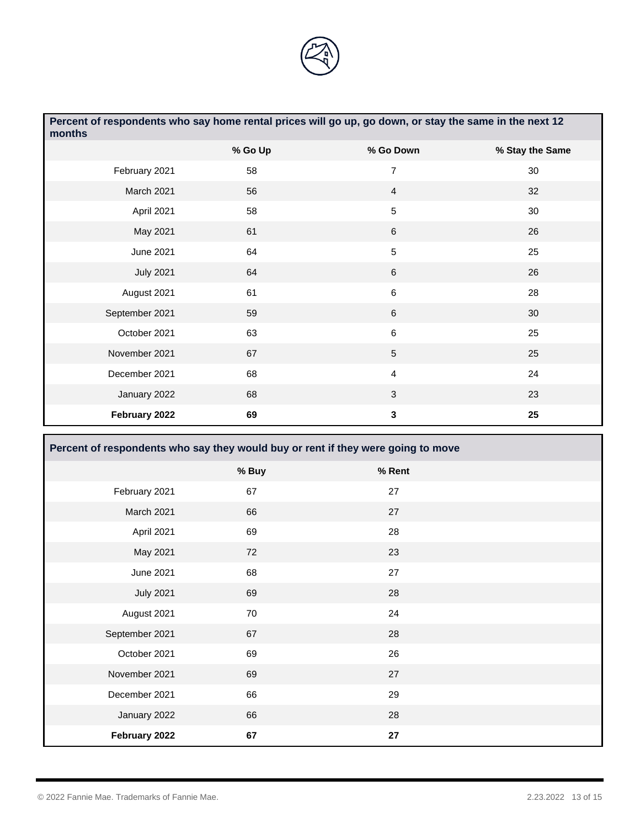

| Percent of respondents who say home rental prices will go up, go down, or stay the same in the next 12<br>months |         |                 |                 |  |  |
|------------------------------------------------------------------------------------------------------------------|---------|-----------------|-----------------|--|--|
|                                                                                                                  | % Go Up | % Go Down       | % Stay the Same |  |  |
| February 2021                                                                                                    | 58      | $\overline{7}$  | 30              |  |  |
| March 2021                                                                                                       | 56      | $\overline{4}$  | 32              |  |  |
| April 2021                                                                                                       | 58      | 5               | 30              |  |  |
| May 2021                                                                                                         | 61      | 6               | 26              |  |  |
| <b>June 2021</b>                                                                                                 | 64      | 5               | 25              |  |  |
| <b>July 2021</b>                                                                                                 | 64      | 6               | 26              |  |  |
| August 2021                                                                                                      | 61      | $6\phantom{1}$  | 28              |  |  |
| September 2021                                                                                                   | 59      | 6               | 30              |  |  |
| October 2021                                                                                                     | 63      | $\,6$           | 25              |  |  |
| November 2021                                                                                                    | 67      | $5\phantom{.0}$ | 25              |  |  |
| December 2021                                                                                                    | 68      | $\overline{4}$  | 24              |  |  |
| January 2022                                                                                                     | 68      | 3               | 23              |  |  |
| February 2022                                                                                                    | 69      | 3               | 25              |  |  |

| Percent of respondents who say they would buy or rent if they were going to move |       |            |  |  |  |
|----------------------------------------------------------------------------------|-------|------------|--|--|--|
|                                                                                  | % Buy | % Rent     |  |  |  |
| February 2021                                                                    | 67    | 27         |  |  |  |
| March 2021                                                                       | 66    | 27         |  |  |  |
| April 2021                                                                       | 69    | 28         |  |  |  |
| May 2021                                                                         | 72    | 23         |  |  |  |
| <b>June 2021</b>                                                                 | 68    | 27         |  |  |  |
| <b>July 2021</b>                                                                 | 69    | 28         |  |  |  |
| August 2021                                                                      | 70    | 24         |  |  |  |
| September 2021                                                                   | 67    | 28         |  |  |  |
| October 2021                                                                     | 69    | 26         |  |  |  |
| November 2021                                                                    | 69    | 27         |  |  |  |
| December 2021                                                                    | 66    | 29         |  |  |  |
| January 2022                                                                     | 66    | 28         |  |  |  |
| February 2022                                                                    | 67    | ${\bf 27}$ |  |  |  |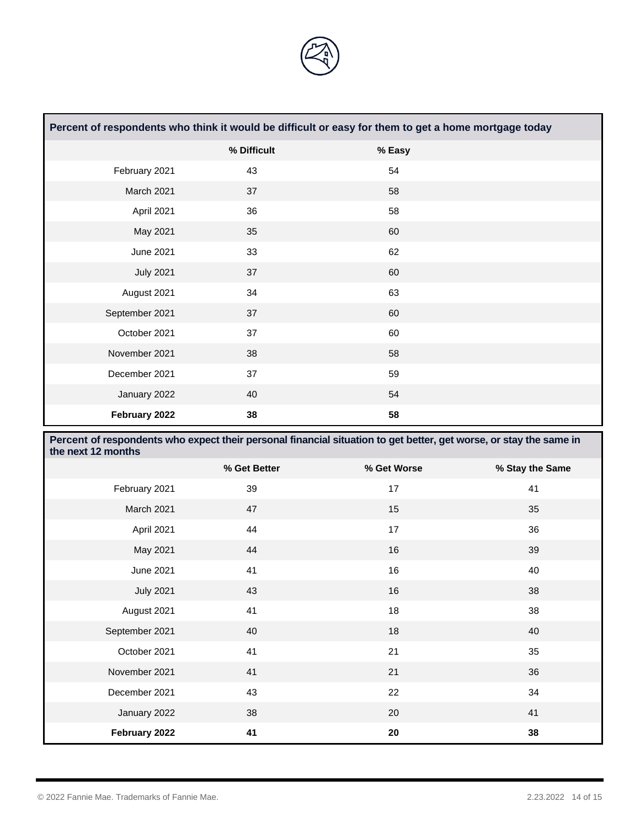

| Percent of respondents who think it would be difficult or easy for them to get a home mortgage today |             |        |  |  |  |
|------------------------------------------------------------------------------------------------------|-------------|--------|--|--|--|
|                                                                                                      | % Difficult | % Easy |  |  |  |
| February 2021                                                                                        | 43          | 54     |  |  |  |
| March 2021                                                                                           | 37          | 58     |  |  |  |
| April 2021                                                                                           | 36          | 58     |  |  |  |
| May 2021                                                                                             | 35          | 60     |  |  |  |
| <b>June 2021</b>                                                                                     | 33          | 62     |  |  |  |
| <b>July 2021</b>                                                                                     | 37          | 60     |  |  |  |
| August 2021                                                                                          | 34          | 63     |  |  |  |
| September 2021                                                                                       | 37          | 60     |  |  |  |
| October 2021                                                                                         | 37          | 60     |  |  |  |
| November 2021                                                                                        | 38          | 58     |  |  |  |
| December 2021                                                                                        | 37          | 59     |  |  |  |
| January 2022                                                                                         | 40          | 54     |  |  |  |
| February 2022                                                                                        | 38          | 58     |  |  |  |

| Percent of respondents who expect their personal financial situation to get better, get worse, or stay the same in<br>the next 12 months |              |             |                 |  |  |
|------------------------------------------------------------------------------------------------------------------------------------------|--------------|-------------|-----------------|--|--|
|                                                                                                                                          | % Get Better | % Get Worse | % Stay the Same |  |  |
| February 2021                                                                                                                            | 39           | 17          | 41              |  |  |
| March 2021                                                                                                                               | 47           | 15          | 35              |  |  |
| April 2021                                                                                                                               | 44           | 17          | 36              |  |  |
| May 2021                                                                                                                                 | 44           | 16          | 39              |  |  |
| June 2021                                                                                                                                | 41           | 16          | 40              |  |  |
| <b>July 2021</b>                                                                                                                         | 43           | 16          | 38              |  |  |
| August 2021                                                                                                                              | 41           | 18          | 38              |  |  |
| September 2021                                                                                                                           | 40           | 18          | 40              |  |  |
| October 2021                                                                                                                             | 41           | 21          | 35              |  |  |
| November 2021                                                                                                                            | 41           | 21          | 36              |  |  |
| December 2021                                                                                                                            | 43           | 22          | 34              |  |  |
| January 2022                                                                                                                             | 38           | 20          | 41              |  |  |
| February 2022                                                                                                                            | 41           | 20          | 38              |  |  |